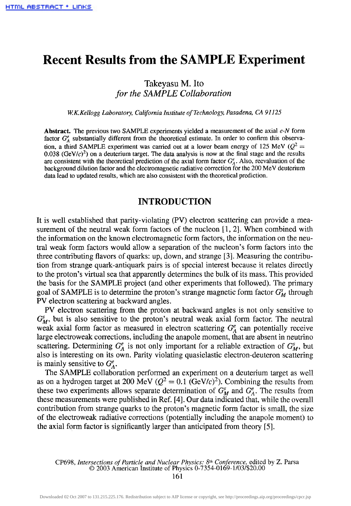# **Recent Results from the SAMPLE Experiment**

# Takeyasu M. Ito *for the SAMPLE Collaboration*

*W.K.Kellogg Laboratory, California Institute of Technology, Pasadena, CA 91125*

**Abstract.** The previous two SAMPLE experiments yielded a measurement of the axial *e-N* form factor  $G_A^e$  substantially different from the theoretical estimate. In order to confirm this observation, a third SAMPLE experiment was carried out at a lower beam energy of 125 MeV ( $Q^2$  = 0.038 (GeV/ $c$ )<sup>2</sup>) on a deuterium target. The data analysis is now at the final stage and the results are consistent with the theoretical prediction of the axial form factor  $G_A^e$ . Also, reevaluation of the background dilution factor and the electromagnetic radiative correction for the 200 MeV deuterium data lead to updated results, which are also consistent with the theoretical prediction.

## **INTRODUCTION**

It is well established that parity-violating (PV) electron scattering can provide a measurement of the neutral weak form factors of the nucleon [1,2]. When combined with the information on the known electromagnetic form factors, the information on the neutral weak form factors would allow a separation of the nucleon's form factors into the three contributing flavors of quarks: up, down, and strange [3], Measuring the contribution from strange quark-antiquark pairs is of special interest because it relates directly to the proton's virtual sea that apparently determines the bulk of its mass. This provided the basis for the SAMPLE project (and other experiments that followed). The primary goal of SAMPLE is to determine the proton's strange magnetic form factor *G<sup>S</sup> <sup>M</sup>* through PV electron scattering at backward angles.

PV electron scattering from the proton at backward angles is not only sensitive to  $G_M^s$ , but is also sensitive to the proton's neutral weak axial form factor. The neutral weak axial form factor as measured in electron scattering  $G_A^e$  can potentially receive large electroweak corrections, including the anapole moment, that are absent in neutrino scattering. Determining  $G_A^e$  is not only important for a reliable extraction of  $G_M^s$ , but also is interesting on its own. Parity violating quasielastic electron-deuteron scattering is mainly sensitive to  $G_A^e$ .

The SAMPLE collaboration performed an experiment on a deuterium target as well as on a hydrogen target at 200 MeV ( $Q^2 = 0.1$  (GeV/c)<sup>2</sup>). Combining the results from these two experiments allows separate determination of  $G_M^s$  and  $G_A^e$ . The results from these measurements were published in Ref. [4]. Our data indicated that, while the overall contribution from strange quarks to the proton's magnetic form factor is small, the size of the electroweak radiative corrections (potentially including the anapole moment) to the axial form factor is significantly larger than anticipated from theory [5].

CP698, *Intersections of Particle and Nuclear Physics: 8th Conference,* edited by Z. Parsa © 2003 American Institute of Physics 0-7354-0169-1/03/\$20.00

161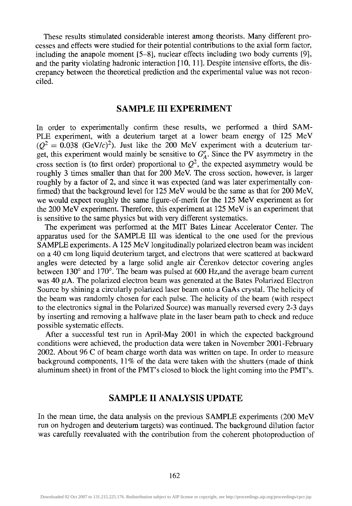These results stimulated considerable interest among theorists. Many different processes and effects were studied for their potential contributions to the axial form factor, including the anapole moment [5-8], nuclear effects including two body currents [9], and the parity violating hadronic interaction [10, 11], Despite intensive efforts, the discrepancy between the theoretical prediction and the experimental value was not reconciled.

#### **SAMPLE HI EXPERIMENT**

In order to experimentally confirm these results, we performed a third SAM-PLE experiment, with a deuterium target at a lower beam energy of 125 MeV  $(Q^2 = 0.038$  (GeV/c)<sup>2</sup>). Just like the 200 MeV experiment with a deuterium target, this experiment would mainly be sensitive to  $G_A^e$ . Since the PV asymmetry in the cross section is (to first order) proportional to  $Q^2$ , the expected asymmetry would be roughly 3 times smaller than that for 200 MeV. The cross section, however, is larger roughly by a factor of 2, and since it was expected (and was later experimentally confirmed) that the background level for 125 MeV would be the same as that for 200 MeV, we would expect roughly the same figure-of-merit for the 125 MeV experiment as for the 200 MeV experiment. Therefore, this experiment at 125 MeV is an experiment that is sensitive to the same physics but with very different systematics.

The experiment was performed at the MIT Bates Linear Accelerator Center. The apparatus used for the SAMPLE III was identical to the one used for the previous SAMPLE experiments. A 125 MeV longitudinally polarized electron beam was incident on a 40 cm long liquid deuterium target, and electrons that were scattered at backward angles were detected by a large solid angle air Cerenkov detector covering angles between 130° and 170°. The beam was pulsed at 600 Hz,and the average beam current was  $40 \mu A$ . The polarized electron beam was generated at the Bates Polarized Electron Source by shining a circularly polarized laser beam onto a GaAs crystal. The helicity of the beam was randomly chosen for each pulse. The helicity of the beam (with respect to the electronics signal in the Polarized Source) was manually reversed every 2-3 days by inserting and removing a halfwave plate in the laser beam path to check and reduce possible systematic effects.

After a successful test run in April-May 2001 in which the expected background conditions were achieved, the production data were taken in November 2001-February 2002. About 96 C of beam charge worth data was written on tape. In order to measure background components, 11% of the data were taken with the shutters (made of think aluminum sheet) in front of the PMT's closed to block the light coming into the PMT's.

## **SAMPLE H ANALYSIS UPDATE**

In the mean time, the data analysis on the previous SAMPLE experiments (200 MeV run on hydrogen and deuterium targets) was continued. The background dilution factor was carefully reevaluated with the contribution from the coherent photoproduction of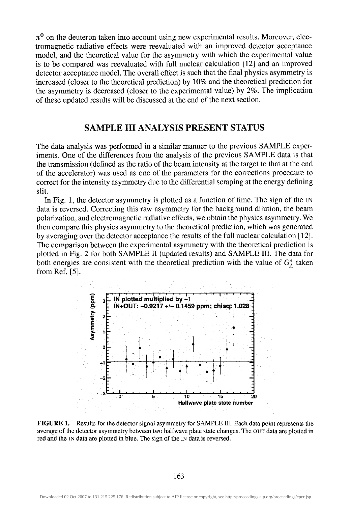$\pi^0$  on the deuteron taken into account using new experimental results. Moreover, electromagnetic radiative effects were reevaluated with an improved detector acceptance model, and the theoretical value for the asymmetry with which the experimental value is to be compared was reevaluated with full nuclear calculation [12] and an improved detector acceptance model. The overall effect is such that the final physics asymmetry is increased (closer to the theoretical prediction) by 10% and the theoretical prediction for the asymmetry is decreased (closer to the experimental value) by 2%. The implication of these updated results will be discussed at the end of the next section.

## **SAMPLE IH ANALYSIS PRESENT STATUS**

The data analysis was performed in a similar manner to the previous SAMPLE experiments. One of the differences from the analysis of the previous SAMPLE data is that the transmission (defined as the ratio of the beam intensity at the target to that at the end of the accelerator) was used as one of the parameters for the corrections procedure to correct for the intensity asymmetry due to the differential scraping at the energy defining slit.

In Fig. 1, the detector asymmetry is plotted as a function of time. The sign of the IN data is reversed. Correcting this raw asymmetry for the background dilution, the beam polarization, and electromagnetic radiative effects, we obtain the physics asymmetry. We then compare this physics asymmetry to the theoretical prediction, which was generated by averaging over the detector acceptance the results of the full nuclear calculation [12]. The comparison between the experimental asymmetry with the theoretical prediction is plotted in Fig. 2 for both SAMPLE II (updated results) and SAMPLE III. The data for both energies are consistent with the theoretical prediction with the value of  $G^e_A$  taken from Ref. [5].



**FIGURE 1.** Results for the detector signal asymmetry for SAMPLE III. Each data point represents the average of the detector asymmetry between two halfwave plate state changes. The OUT data are plotted in red and the IN data are plotted in blue. The sign of the IN data is reversed.

163